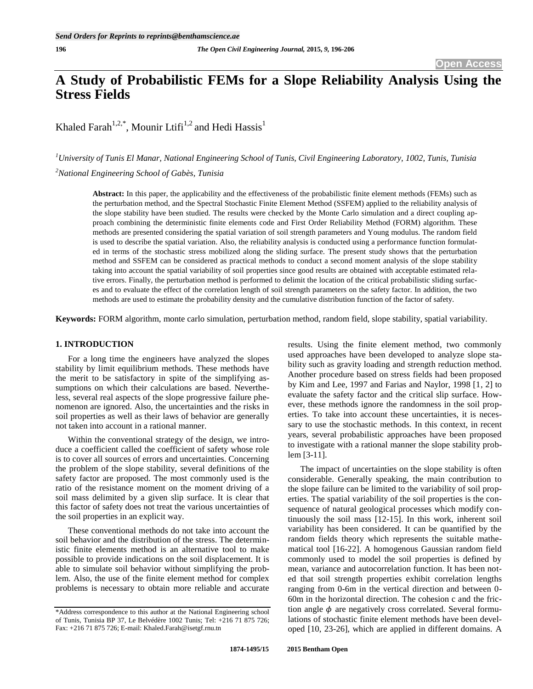# **A Study of Probabilistic FEMs for a Slope Reliability Analysis Using the Stress Fields**

Khaled Farah<sup>1,2,\*</sup>, Mounir Ltifi<sup>1,2</sup> and Hedi Hassis<sup>1</sup>

*<sup>1</sup>University of Tunis El Manar, National Engineering School of Tunis, Civil Engineering Laboratory, 1002, Tunis, Tunisia <sup>2</sup>National Engineering School of Gabès, Tunisia*

**Abstract:** In this paper, the applicability and the effectiveness of the probabilistic finite element methods (FEMs) such as the perturbation method, and the Spectral Stochastic Finite Element Method (SSFEM) applied to the reliability analysis of the slope stability have been studied. The results were checked by the Monte Carlo simulation and a direct coupling approach combining the deterministic finite elements code and First Order Reliability Method (FORM) algorithm. These methods are presented considering the spatial variation of soil strength parameters and Young modulus. The random field is used to describe the spatial variation. Also, the reliability analysis is conducted using a performance function formulated in terms of the stochastic stress mobilized along the sliding surface. The present study shows that the perturbation method and SSFEM can be considered as practical methods to conduct a second moment analysis of the slope stability taking into account the spatial variability of soil properties since good results are obtained with acceptable estimated relative errors. Finally, the perturbation method is performed to delimit the location of the critical probabilistic sliding surfaces and to evaluate the effect of the correlation length of soil strength parameters on the safety factor. In addition, the two methods are used to estimate the probability density and the cumulative distribution function of the factor of safety.

**Keywords:** FORM algorithm, monte carlo simulation, perturbation method, random field, slope stability, spatial variability.

# **1. INTRODUCTION**

For a long time the engineers have analyzed the slopes stability by limit equilibrium methods. These methods have the merit to be satisfactory in spite of the simplifying assumptions on which their calculations are based. Nevertheless, several real aspects of the slope progressive failure phenomenon are ignored. Also, the uncertainties and the risks in soil properties as well as their laws of behavior are generally not taken into account in a rational manner.

Within the conventional strategy of the design, we introduce a coefficient called the coefficient of safety whose role is to cover all sources of errors and uncertainties. Concerning the problem of the slope stability, several definitions of the safety factor are proposed. The most commonly used is the ratio of the resistance moment on the moment driving of a soil mass delimited by a given slip surface. It is clear that this factor of safety does not treat the various uncertainties of the soil properties in an explicit way.

These conventional methods do not take into account the soil behavior and the distribution of the stress. The deterministic finite elements method is an alternative tool to make possible to provide indications on the soil displacement. It is able to simulate soil behavior without simplifying the problem. Also, the use of the finite element method for complex problems is necessary to obtain more reliable and accurate results. Using the finite element method, two commonly used approaches have been developed to analyze slope stability such as gravity loading and strength reduction method. Another procedure based on stress fields had been proposed by Kim and Lee, 1997 and Farias and Naylor, 1998 [1, 2] to evaluate the safety factor and the critical slip surface. However, these methods ignore the randomness in the soil properties. To take into account these uncertainties, it is necessary to use the stochastic methods. In this context, in recent years, several probabilistic approaches have been proposed to investigate with a rational manner the slope stability problem [3-11].

The impact of uncertainties on the slope stability is often considerable. Generally speaking, the main contribution to the slope failure can be limited to the variability of soil properties. The spatial variability of the soil properties is the consequence of natural geological processes which modify continuously the soil mass [12-15]. In this work, inherent soil variability has been considered. It can be quantified by the random fields theory which represents the suitable mathematical tool [16-22]. A homogenous Gaussian random field commonly used to model the soil properties is defined by mean, variance and autocorrelation function. It has been noted that soil strength properties exhibit correlation lengths ranging from 0-6m in the vertical direction and between 0- 60m in the horizontal direction. The cohesion c and the friction angle  $\phi$  are negatively cross correlated. Several formulations of stochastic finite element methods have been developed [10, 23-26], which are applied in different domains. A

<sup>\*</sup>Address correspondence to this author at the National Engineering school of Tunis, Tunisia BP 37, Le Belvédère 1002 Tunis; Tel: +216 71 875 726; Fax: +216 71 875 726; E-mail: Khaled.Farah@isetgf.rnu.tn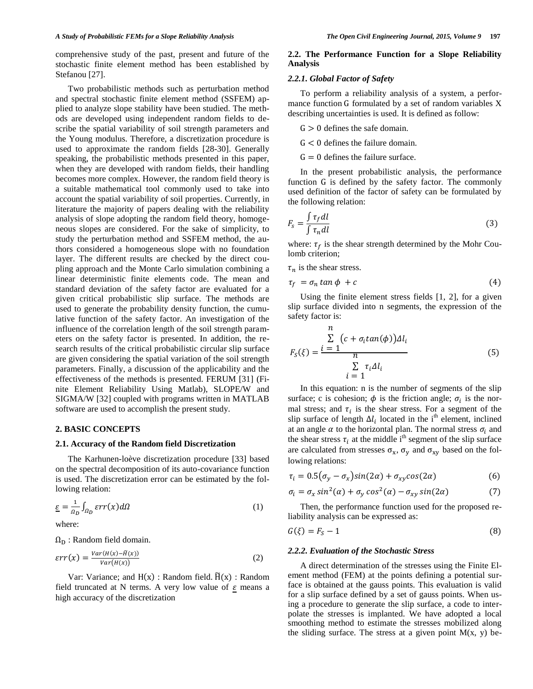comprehensive study of the past, present and future of the stochastic finite element method has been established by Stefanou [27].

Two probabilistic methods such as perturbation method and spectral stochastic finite element method (SSFEM) applied to analyze slope stability have been studied. The methods are developed using independent random fields to describe the spatial variability of soil strength parameters and the Young modulus. Therefore, a discretization procedure is used to approximate the random fields [28-30]. Generally speaking, the probabilistic methods presented in this paper, when they are developed with random fields, their handling becomes more complex. However, the random field theory is a suitable mathematical tool commonly used to take into account the spatial variability of soil properties. Currently, in literature the majority of papers dealing with the reliability analysis of slope adopting the random field theory, homogeneous slopes are considered. For the sake of simplicity, to study the perturbation method and SSFEM method, the authors considered a homogeneous slope with no foundation layer. The different results are checked by the direct coupling approach and the Monte Carlo simulation combining a linear deterministic finite elements code. The mean and standard deviation of the safety factor are evaluated for a given critical probabilistic slip surface. The methods are used to generate the probability density function, the cumulative function of the safety factor. An investigation of the influence of the correlation length of the soil strength parameters on the safety factor is presented. In addition, the research results of the critical probabilistic circular slip surface are given considering the spatial variation of the soil strength parameters. Finally, a discussion of the applicability and the effectiveness of the methods is presented. FERUM [31] (Finite Element Reliability Using Matlab), SLOPE/W and SIGMA/W [32] coupled with programs written in MATLAB software are used to accomplish the present study.

## **2. BASIC CONCEPTS**

### **2.1. Accuracy of the Random field Discretization**

The Karhunen-loève discretization procedure [33] based on the spectral decomposition of its auto-covariance function is used. The discretization error can be estimated by the following relation:

$$
\underline{\varepsilon} = \frac{1}{\Omega_D} \int_{\Omega_D} \varepsilon r r(x) d\Omega \tag{1}
$$

where:

 $\Omega_D$ : Random field domain.

$$
err(x) = \frac{Var(H(x) - \tilde{H}(x))}{Var(H(x))}
$$
 (2)

Var: Variance; and  $H(x)$ : Random field.  $\tilde{H}(x)$ : Random field truncated at N terms. A very low value of  $\varepsilon$  means a high accuracy of the discretization

# **2.2. The Performance Function for a Slope Reliability Analysis**

# *2.2.1. Global Factor of Safety*

To perform a reliability analysis of a system, a performance function  $G$  formulated by a set of random variables  $X$ describing uncertainties is used. It is defined as follow:

 $G > 0$  defines the safe domain.

 $G < 0$  defines the failure domain.

 $G = 0$  defines the failure surface.

In the present probabilistic analysis, the performance function G is defined by the safety factor. The commonly used definition of the factor of safety can be formulated by the following relation:

$$
F_s = \frac{\int \tau_f dl}{\int \tau_n dl}
$$
\n(3)

where:  $\tau_f$  is the shear strength determined by the Mohr Coulomb criterion;

 $\tau_n$  is the shear stress.

$$
\tau_f = \sigma_n \tan \phi + c \tag{4}
$$

Using the finite element stress fields [1, 2], for a given slip surface divided into n segments, the expression of the safety factor is:

$$
F_S(\xi) = \frac{\sum\limits_{i=1}^{n} (c + \sigma_i \tan(\phi)) \Delta l_i}{n}
$$
  

$$
\sum\limits_{i=1}^{n} \tau_i \Delta l_i
$$
 (5)

In this equation: n is the number of segments of the slip surface; c is cohesion;  $\phi$  is the friction angle;  $\sigma_i$  is the normal stress; and  $\tau_i$  is the shear stress. For a segment of the slip surface of length  $\Delta l_i$  located in the i<sup>th</sup> element, inclined at an angle  $\alpha$  to the horizontal plan. The normal stress  $\sigma_i$  and the shear stress  $\tau_i$  at the middle i<sup>th</sup> segment of the slip surface are calculated from stresses  $\sigma_x$ ,  $\sigma_y$  and  $\sigma_{xy}$  based on the following relations:

$$
\tau_i = 0.5(\sigma_y - \sigma_x)\sin(2\alpha) + \sigma_{xy}\cos(2\alpha) \tag{6}
$$

$$
\sigma_i = \sigma_x \sin^2(\alpha) + \sigma_y \cos^2(\alpha) - \sigma_{xy} \sin(2\alpha) \tag{7}
$$

Then, the performance function used for the proposed reliability analysis can be expressed as:

$$
G(\xi) = F_S - 1 \tag{8}
$$

#### *2.2.2. Evaluation of the Stochastic Stress*

A direct determination of the stresses using the Finite Element method (FEM) at the points defining a potential surface is obtained at the gauss points. This evaluation is valid for a slip surface defined by a set of gauss points. When using a procedure to generate the slip surface, a code to interpolate the stresses is implanted. We have adopted a local smoothing method to estimate the stresses mobilized along the sliding surface. The stress at a given point  $M(x, y)$  be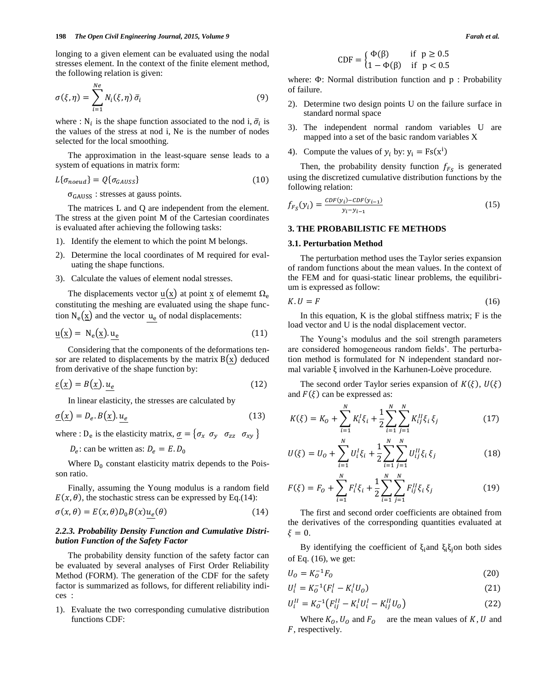longing to a given element can be evaluated using the nodal stresses element. In the context of the finite element method, the following relation is given:

$$
\sigma(\xi,\eta) = \sum_{i=1}^{Ne} N_i(\xi,\eta) \,\bar{\sigma}_i \tag{9}
$$

where : N<sub>i</sub> is the shape function associated to the nod i,  $\bar{\sigma}_i$  is the values of the stress at nod i, Ne is the number of nodes selected for the local smoothing.

The approximation in the least-square sense leads to a system of equations in matrix form:

$$
L\{\sigma_{noeud}\} = Q\{\sigma_{GAUSS}\}\tag{10}
$$

 $\sigma_{\text{GAUSS}}$ : stresses at gauss points.

The matrices L and Q are independent from the element. The stress at the given point M of the Cartesian coordinates is evaluated after achieving the following tasks:

- 1). Identify the element to which the point M belongs.
- 2). Determine the local coordinates of M required for evaluating the shape functions.
- 3). Calculate the values of element nodal stresses.

The displacements vector  $\underline{u}(\underline{x})$  at point  $\underline{x}$  of element  $\Omega_e$ constituting the meshing are evaluated using the shape function  $N_e(\underline{x})$  and the vector  $u_e$  of nodal displacements:

$$
\underline{\mathbf{u}}(\underline{\mathbf{x}}) = \mathbf{N}_e(\underline{\mathbf{x}}).\underline{\mathbf{u}_e} \tag{11}
$$

Considering that the components of the deformations tensor are related to displacements by the matrix  $B(x)$  deduced from derivative of the shape function by:

$$
\underline{\varepsilon}(\underline{x}) = B(\underline{x}). u_e \tag{12}
$$

In linear elasticity, the stresses are calculated by

$$
\underline{\sigma}(\underline{x}) = D_e. B(\underline{x}). \underline{u_e} \tag{13}
$$

where : D<sub>e</sub> is the elasticity matrix,  $\sigma = \{ \sigma_x \ \sigma_y \ \sigma_{zz} \ \sigma_{xy} \}$ 

 $D_e$ : can be written as:

Where  $D_0$  constant elasticity matrix depends to the Poisson ratio.

Finally, assuming the Young modulus is a random field  $E(x, \theta)$ , the stochastic stress can be expressed by Eq.(14):

$$
\sigma(x,\theta) = E(x,\theta)D_0B(x)u_e(\theta)
$$
\n(14)

# *2.2.3. Probability Density Function and Cumulative Distribution Function of the Safety Factor*

The probability density function of the safety factor can be evaluated by several analyses of First Order Reliability Method (FORM). The generation of the CDF for the safety factor is summarized as follows, for different reliability indices :

1). Evaluate the two corresponding cumulative distribution functions CDF:

$$
CDF = \begin{cases} \Phi(\beta) & \text{if } p \ge 0.5\\ 1 - \Phi(\beta) & \text{if } p < 0.5 \end{cases}
$$

where:  $\Phi$ : Normal distribution function and  $p$ : Probability of failure.

- 2). Determine two design points U on the failure surface in standard normal space
- 3). The independent normal random variables U are mapped into a set of the basic random variables X
- 4). Compute the values of  $y_i$  by:  $y_i = Fs(x^i)$

Then, the probability density function  $f_{F_s}$  is generated using the discretized cumulative distribution functions by the following relation:

$$
f_{F_S}(y_i) = \frac{CDF(y_i) - CDF(y_{i-1})}{y_i - y_{i-1}}
$$
\n(15)

# **3. THE PROBABILISTIC FE METHODS**

### **3.1. Perturbation Method**

The perturbation method uses the Taylor series expansion of random functions about the mean values. In the context of the FEM and for quasi-static linear problems, the equilibrium is expressed as follow:

$$
K.U=F\tag{16}
$$

In this equation,  $K$  is the global stiffness matrix;  $F$  is the load vector and U is the nodal displacement vector.

The Young's modulus and the soil strength parameters are considered homogeneous random fields'. The perturbation method is formulated for N independent standard normal variable  $\xi$  involved in the Karhunen-Loève procedure.

The second order Taylor series expansion of  $K(\xi)$ ,  $U(\xi)$ and  $F(\xi)$  can be expressed as:

$$
K(\xi) = K_0 + \sum_{i=1}^{N} K_i^I \xi_i + \frac{1}{2} \sum_{i=1}^{N} \sum_{j=1}^{N} K_{ij}^{II} \xi_i \xi_j
$$
 (17)

$$
U(\xi) = U_0 + \sum_{i=1}^{N} U_i^I \xi_i + \frac{1}{2} \sum_{i=1}^{N} \sum_{j=1}^{N} U_{ij}^{II} \xi_i \xi_j
$$
 (18)

$$
F(\xi) = F_0 + \sum_{i=1}^{N} F_i^I \xi_i + \frac{1}{2} \sum_{i=1}^{N} \sum_{j=1}^{N} F_{ij}^I \xi_i \xi_j
$$
 (19)

The first and second order coefficients are obtained from the derivatives of the corresponding quantities evaluated at  $\xi=0$ .

By identifying the coefficient of  $\xi_i$  and  $\xi_i \xi_j$  on both sides of Eq. (16), we get:

$$
U_0 = K_0^{-1} F_0 \tag{20}
$$

$$
U_i^I = K_O^{-1}(F_i^I - K_i^I U_O)
$$
\n(21)

$$
U_i^{II} = K_0^{-1} \big( F_{ij}^{II} - K_i^I U_i^I - K_{ij}^{II} U_0 \big) \tag{22}
$$

Where  $K_0$ ,  $U_0$  and  $F_0$  are the mean values of K, U and F, respectively.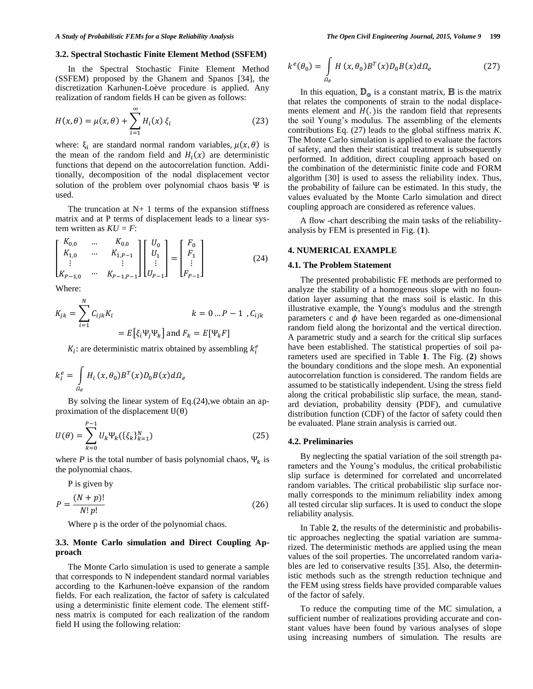#### **3.2. Spectral Stochastic Finite Element Method (SSFEM)**

In the Spectral Stochastic Finite Element Method (SSFEM) proposed by the Ghanem and Spanos [34], the discretization Karhunen-Loève procedure is applied. Any realization of random fields H can be given as follows:

$$
H(x,\theta) = \mu(x,\theta) + \sum_{i=1}^{\infty} H_i(x) \,\xi_i \tag{23}
$$

where:  $\xi_i$  are standard normal random variables,  $\mu(x, \theta)$  is the mean of the random field and  $H_i(x)$  are deterministic functions that depend on the autocorrelation function. Additionally, decomposition of the nodal displacement vector solution of the problem over polynomial chaos basis  $\Psi$  is used.

The truncation at  $N+1$  terms of the expansion stiffness matrix and at P terms of displacement leads to a linear system written as *KU = F*:

$$
\begin{bmatrix} K_{0,0} & \dots & K_{0,0} \\ K_{1,0} & \dots & K_{1,P-1} \\ \vdots & & \vdots \\ K_{P-1,0} & \dots & K_{P-1,P-1} \end{bmatrix} \begin{bmatrix} U_0 \\ U_1 \\ \vdots \\ U_{P-1} \end{bmatrix} = \begin{bmatrix} F_0 \\ F_1 \\ \vdots \\ F_{P-1} \end{bmatrix}
$$
 (24)

Where:

$$
K_{jk} = \sum_{i=1}^{N} C_{ijk} K_i
$$
  
=  $E[\xi_i \Psi_j \Psi_k]$  and  $F_k = E[\Psi_k F]$ 

 $K_i$ : are deterministic matrix obtained by assembling  $k_i^e$ 

$$
k_i^e = \int_{\Omega_e} H_i(x, \theta_0) B^T(x) D_0 B(x) d\Omega_e
$$

By solving the linear system of Eq.(24),we obtain an approximation of the displacement  $U(\theta)$ 

$$
U(\theta) = \sum_{k=0}^{P-1} U_k \Psi_k(\{\xi_k\}_{k=1}^N)
$$
 (25)

where *P* is the total number of basis polynomial chaos,  $\Psi_k$  is the polynomial chaos.

P is given by

$$
P = \frac{(N+p)!}{N! \, p!} \tag{26}
$$

Where p is the order of the polynomial chaos.

# **3.3. Monte Carlo simulation and Direct Coupling Approach**

The Monte Carlo simulation is used to generate a sample that corresponds to N independent standard normal variables according to the Karhunen-loève expansion of the random fields. For each realization, the factor of safety is calculated using a deterministic finite element code. The element stiffness matrix is computed for each realization of the random field H using the following relation:

$$
k^{e}(\theta_{0}) = \int_{\Omega_{e}} H(x,\theta_{0})B^{T}(x)D_{0}B(x)d\Omega_{e}
$$
 (27)

In this equation,  $D_{\alpha}$  is a constant matrix, **B** is the matrix that relates the components of strain to the nodal displacements element and  $H(.)$  is the random field that represents the soil Young's modulus. The assembling of the elements contributions Eq. (27) leads to the global stiffness matrix *K*. The Monte Carlo simulation is applied to evaluate the factors of safety, and then their statistical treatment is subsequently performed. In addition, direct coupling approach based on the combination of the deterministic finite code and FORM algorithm [30] is used to assess the reliability index. Thus, the probability of failure can be estimated. In this study, the values evaluated by the Monte Carlo simulation and direct coupling approach are considered as reference values.

A flow -chart describing the main tasks of the reliabilityanalysis by FEM is presented in Fig. (**1**).

## **4. NUMERICAL EXAMPLE**

#### **4.1. The Problem Statement**

The presented probabilistic FE methods are performed to analyze the stability of a homogeneous slope with no foundation layer assuming that the mass soil is elastic. In this illustrative example, the Young's modulus and the strength parameters c and  $\phi$  have been regarded as one-dimensional random field along the horizontal and the vertical direction. A parametric study and a search for the critical slip surfaces have been established. The statistical properties of soil parameters used are specified in Table **1**. The Fig. (**2**) shows the boundary conditions and the slope mesh. An exponential autocorrelation function is considered. The random fields are assumed to be statistically independent. Using the stress field along the critical probabilistic slip surface, the mean, standard deviation, probability density (PDF), and cumulative distribution function (CDF) of the factor of safety could then be evaluated. Plane strain analysis is carried out.

#### **4.2. Preliminaries**

By neglecting the spatial variation of the soil strength parameters and the Young's modulus, the critical probabilistic slip surface is determined for correlated and uncorrelated random variables. The critical probabilistic slip surface normally corresponds to the minimum reliability index among all tested circular slip surfaces. It is used to conduct the slope reliability analysis.

In Table **2**, the results of the deterministic and probabilistic approaches neglecting the spatial variation are summarized. The deterministic methods are applied using the mean values of the soil properties. The uncorrelated random variables are led to conservative results [35]. Also, the deterministic methods such as the strength reduction technique and the FEM using stress fields have provided comparable values of the factor of safely.

To reduce the computing time of the MC simulation, a sufficient number of realizations providing accurate and constant values have been found by various analyses of slope using increasing numbers of simulation. The results are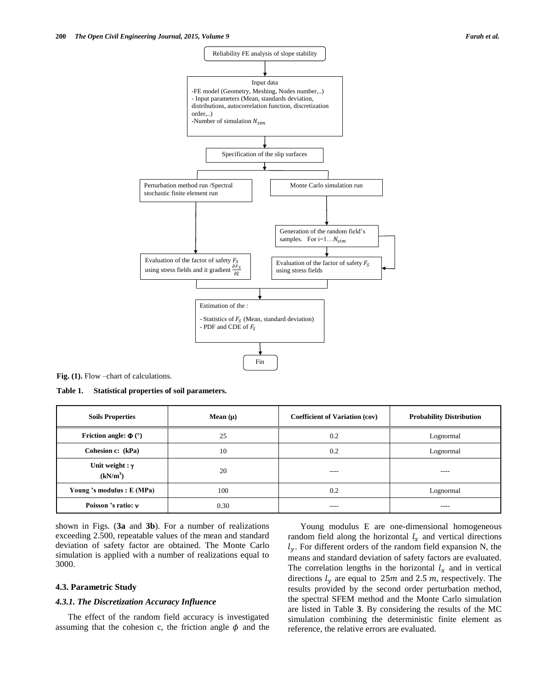

**Fig. (1).** Flow –chart of calculations.

**Table 1. Statistical properties of soil parameters.**

| <b>Soils Properties</b>                        | Mean $(\mu)$ | <b>Coefficient of Variation (cov)</b> | <b>Probability Distribution</b> |
|------------------------------------------------|--------------|---------------------------------------|---------------------------------|
| <b>Friction angle:</b> $\Phi$ ( $\degree$ )    | 25           | 0.2                                   | Lognormal                       |
| Cohesion c: (kPa)                              | 10           | 0.2                                   | Lognormal                       |
| Unit weight : $\gamma$<br>(kN/m <sup>3</sup> ) | 20           | ----                                  | ----                            |
| Young 's modulus : E (MPa)                     | 100          | 0.2                                   | Lognormal                       |
| Poisson 's ratio: v                            | 0.30         | $---$                                 | ----                            |

shown in Figs. (**3a** and **3b**). For a number of realizations exceeding 2.500, repeatable values of the mean and standard deviation of safety factor are obtained. The Monte Carlo simulation is applied with a number of realizations equal to 3000.

# **4.3. Parametric Study**

# *4.3.1. The Discretization Accuracy Influence*

The effect of the random field accuracy is investigated assuming that the cohesion c, the friction angle  $\phi$  and the

Young modulus E are one-dimensional homogeneous random field along the horizontal  $l<sub>x</sub>$  and vertical directions  $l_{v}$ . For different orders of the random field expansion N, the means and standard deviation of safety factors are evaluated. The correlation lengths in the horizontal  $l_x$  and in vertical directions  $l_y$  are equal to 25m and 2.5m, respectively. The results provided by the second order perturbation method, the spectral SFEM method and the Monte Carlo simulation are listed in Table **3**. By considering the results of the MC simulation combining the deterministic finite element as reference, the relative errors are evaluated.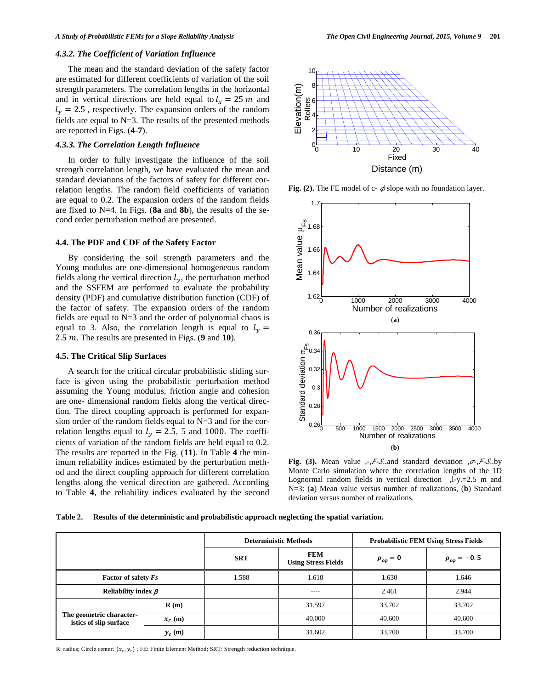#### *4.3.2. The Coefficient of Variation Influence*

The mean and the standard deviation of the safety factor are estimated for different coefficients of variation of the soil strength parameters. The correlation lengths in the horizontal and in vertical directions are held equal to  $l_x = 25$  m and  $l_y = 2.5$ , respectively. The expansion orders of the random fields are equal to  $N=3$ . The results of the presented methods are reported in Figs. (**4**-**7**).

# *4.3.3. The Correlation Length Influence*

In order to fully investigate the influence of the soil strength correlation length, we have evaluated the mean and standard deviations of the factors of safety for different correlation lengths. The random field coefficients of variation are equal to 0.2. The expansion orders of the random fields are fixed to N=4. In Figs. (**8a** and **8b**), the results of the second order perturbation method are presented.

## **4.4. The PDF and CDF of the Safety Factor**

By considering the soil strength parameters and the Young modulus are one-dimensional homogeneous random fields along the vertical direction  $l_{\nu}$ , the perturbation method and the SSFEM are performed to evaluate the probability density (PDF) and cumulative distribution function (CDF) of the factor of safety. The expansion orders of the random fields are equal to  $N=3$  and the order of polynomial chaos is equal to 3. Also, the correlation length is equal to  $l_v =$ . The results are presented in Figs. (**9** and **10**).

#### **4.5. The Critical Slip Surfaces**

A search for the critical circular probabilistic sliding surface is given using the probabilistic perturbation method assuming the Young modulus, friction angle and cohesion are one- dimensional random fields along the vertical direction. The direct coupling approach is performed for expansion order of the random fields equal to N=3 and for the correlation lengths equal to  $l<sub>y</sub> = 2.5$ , 5 and 1000. The coefficients of variation of the random fields are held equal to 0.2. The results are reported in the Fig. (**11**). In Table **4** the minimum reliability indices estimated by the perturbation method and the direct coupling approach for different correlation lengths along the vertical direction are gathered. According to Table **4**, the reliability indices evaluated by the second



**Fig. (2).** The FE model of c-  $\phi$  slope with no foundation layer.



**Fig.** (3). Mean value *,-, F-S.*, and standard deviation *,*  $\sigma$ *-, F-S.*, by Monte Carlo simulation where the correlation lengths of the 1D Lognormal random fields in vertical direction ,l-y.=2.5 m and N=3: (**a**) Mean value versus number of realizations, (**b**) Standard deviation versus number of realizations.

|  | Table 2. Results of the deterministic and probabilistic approach neglecting the spatial variation. |  |  |
|--|----------------------------------------------------------------------------------------------------|--|--|
|  |                                                                                                    |  |  |

|                                                    |           |            | <b>Deterministic Methods</b>             | <b>Probabilistic FEM Using Stress Fields</b> |                        |  |  |
|----------------------------------------------------|-----------|------------|------------------------------------------|----------------------------------------------|------------------------|--|--|
|                                                    |           | <b>SRT</b> | <b>FEM</b><br><b>Using Stress Fields</b> | $\rho_{c\varphi}=0$                          | $\rho_{c\varphi}=-0.5$ |  |  |
| <b>Factor of safety Fs</b>                         |           | 1.588      | 1.618                                    | 1.630                                        | 1.646                  |  |  |
| Reliability index $\beta$                          |           |            | ----                                     | 2.461                                        | 2.944                  |  |  |
| The geometric character-<br>istics of slip surface | R(m)      |            | 31.597                                   | 33.702                                       | 33.702                 |  |  |
|                                                    | $x_c$ (m) |            | 40.000                                   | 40.600                                       | 40.600                 |  |  |
|                                                    | $y_c(m)$  |            | 31.602                                   | 33.700                                       | 33.700                 |  |  |

R: radius; Circle center:  $(x_c, y_c)$ ; FE: Finite Element Method; SRT: Strength reduction technique.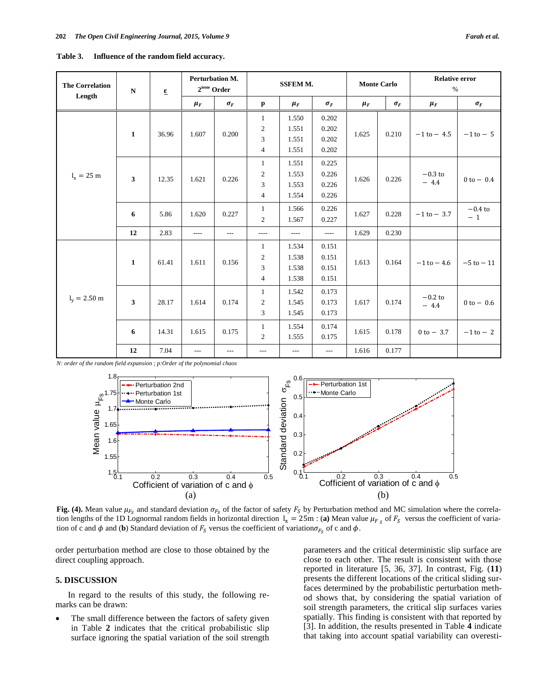| <b>The Correlation</b><br>Length | $\mathbf N$             | $\underline{\epsilon}$ | <b>Perturbation M.</b><br>$2^{\rm ieme}$ Order |            | <b>SSFEM M.</b> |         |            | <b>Monte Carlo</b> |            | <b>Relative error</b><br>$\%$ |                   |
|----------------------------------|-------------------------|------------------------|------------------------------------------------|------------|-----------------|---------|------------|--------------------|------------|-------------------------------|-------------------|
|                                  |                         |                        | $\mu_F$                                        | $\sigma_F$ | $\mathbf{p}$    | $\mu_F$ | $\sigma_F$ | $\mu_F$            | $\sigma_F$ | $\mu_F$                       | $\sigma_F$        |
|                                  | $\mathbf{1}$            | 36.96                  | 1.607                                          | 0.200      | 1               | 1.550   | 0.202      |                    | 0.210      | $-1$ to $-4.5$                |                   |
|                                  |                         |                        |                                                |            | $\mathfrak{2}$  | 1.551   | 0.202      | 1.625              |            |                               |                   |
|                                  |                         |                        |                                                |            | 3               | 1.551   | 0.202      |                    |            |                               | $-1$ to $-5$      |
|                                  |                         |                        |                                                |            | $\overline{4}$  | 1.551   | 0.202      |                    |            |                               |                   |
|                                  |                         |                        | 1.621                                          | 0.226      | $\mathbf{1}$    | 1.551   | 0.225      | 1.626              | 0.226      | $-0.3$ to<br>$-4.4$           |                   |
| $l_{x} = 25 \text{ m}$           | $\overline{\mathbf{3}}$ | 12.35                  |                                                |            | $\mathbf{2}$    | 1.553   | 0.226      |                    |            |                               | $0 to - 0.4$      |
|                                  |                         |                        |                                                |            | 3               | 1.553   | 0.226      |                    |            |                               |                   |
|                                  |                         |                        |                                                |            | $\overline{4}$  | 1.554   | 0.226      |                    |            |                               |                   |
|                                  | 6                       | 5.86                   | 1.620                                          | 0.227      | $\mathbf{1}$    | 1.566   | 0.226      | 1.627              | 0.228      | $-1$ to $-3.7$                | $-0.4$ to<br>$-1$ |
|                                  |                         |                        |                                                |            | 2               | 1.567   | 0.227      |                    |            |                               |                   |
|                                  | 12                      | 2.83                   | $\cdots$                                       | $---$      | $- - - -$       | ----    | $\cdots$   | 1.629              | 0.230      |                               |                   |
|                                  | $\mathbf{1}$            | 61.41                  | 1.611                                          | 0.156      | -1              | 1.534   | 0.151      | 1.613              | 0.164      | $-1$ to $-4.6$                | $-5$ to $-11$     |
|                                  |                         |                        |                                                |            | $\overline{c}$  | 1.538   | 0.151      |                    |            |                               |                   |
| $l_v = 2.50$ m                   |                         |                        |                                                |            | 3               | 1.538   | 0.151      |                    |            |                               |                   |
|                                  |                         |                        |                                                |            | $\overline{4}$  | 1.538   | 0.151      |                    |            |                               |                   |
|                                  | 3                       | 28.17                  | 1.614                                          | 0.174      | 1               | 1.542   | 0.173      | 1.617              | 0.174      | $-0.2\ {\rm to}$<br>$-4.4$    | $0 to - 0.6$      |
|                                  |                         |                        |                                                |            | 2               | 1.545   | 0.173      |                    |            |                               |                   |
|                                  |                         |                        |                                                |            | 3               | 1.545   | 0.173      |                    |            |                               |                   |
|                                  | 6                       | 14.31                  | 1.615                                          | 0.175      | $\mathbf{1}$    | 1.554   | 0.174      |                    | 0.178      | $0 to - 3.7$                  | $-1$ to $-2$      |
|                                  |                         |                        |                                                |            | 2               | 1.555   | 0.175      | 1.615              |            |                               |                   |
|                                  | 12                      | 7.04                   | $\overline{a}$                                 | ---        | ---             | ---     | $---$      | 1.616              | 0.177      |                               |                   |

**Table 3. Influence of the random field accuracy.**

*N: order of the random field expansion ; p:Order of the polynomial chaos*



Fig. (4). Mean value  $\mu_{F_s}$  and standard deviation  $\sigma_{F_s}$  of the factor of safety  $F_s$  by Perturbation method and MC simulation where the correlation lengths of the 1D Lognormal random fields in horizontal direction  $I_x = 25m$ : (a) Mean value  $\mu_F$ , of  $F_s$  versus the coefficient of variation of c and  $\phi$  and (**b**) Standard deviation of  $F_s$  versus the coefficient of variation  $\sigma_{F_s}$  of c and  $\phi$ .

order perturbation method are close to those obtained by the direct coupling approach.

# **5. DISCUSSION**

In regard to the results of this study, the following remarks can be drawn:

 The small difference between the factors of safety given in Table **2** indicates that the critical probabilistic slip surface ignoring the spatial variation of the soil strength parameters and the critical deterministic slip surface are close to each other. The result is consistent with those reported in literature [5, 36, 37]. In contrast, Fig. (**11**) presents the different locations of the critical sliding surfaces determined by the probabilistic perturbation method shows that, by considering the spatial variation of soil strength parameters, the critical slip surfaces varies spatially. This finding is consistent with that reported by [3]. In addition, the results presented in Table **4** indicate that taking into account spatial variability can overesti-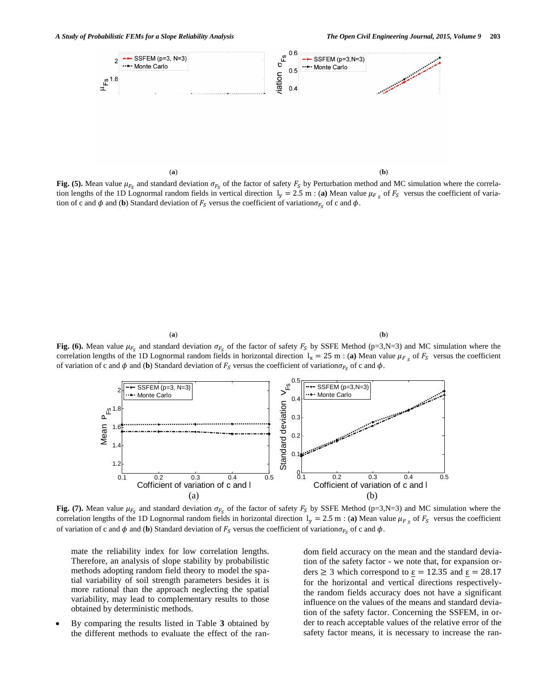(**a**) (**b**)

Fig. (5). Mean value  $\mu_{F_{\rm c}}$  and standard deviation  $\sigma_{F_{\rm c}}$  of the factor of safety  $F_{\rm s}$  by Perturbation method and MC simulation where the correlation lengths of the 1D Lognormal random fields in vertical direction  $l_v = 2.5$  m : (a) Mean value  $\mu_F$  of  $F_S$  versus the coefficient of variation of c and  $\phi$  and (**b**) Standard deviation of  $F_s$  versus the coefficient of variation  $\sigma_{F_s}$  of c and  $\phi$ .

(**a**) (**b**)

Fig. (6). Mean value  $\mu_{F_s}$  and standard deviation  $\sigma_{F_s}$  of the factor of safety  $F_s$  by SSFE Method (p=3,N=3) and MC simulation where the correlation lengths of the 1D Lognormal random fields in horizontal direction  $I_x = 25$  m: (a) Mean value  $\mu_F$ , of  $F_s$  versus the coefficient of variation of c and  $\phi$  and (**b**) Standard deviation of  $F_s$  versus the coefficient of variation  $\sigma_{F_s}$  of c and  $\phi$ .



**Fig.** (7). Mean value  $\mu_{F_s}$  and standard deviation  $\sigma_{F_s}$  of the factor of safety  $F_s$  by SSFE Method (p=3,N=3) and MC simulation where the correlation lengths of the 1D Lognormal random fields in horizontal direction  $I_v = 2.5$  m : (a) Mean value  $\mu_F$ , of  $F_s$  versus the coefficient of variation of c and  $\phi$  and (**b**) Standard deviation of  $F_s$  versus the coefficient of variation  $\sigma_{F_s}$  of c and  $\phi$ .

mate the reliability index for low correlation lengths. Therefore, an analysis of slope stability by probabilistic methods adopting random field theory to model the spatial variability of soil strength parameters besides it is more rational than the approach neglecting the spatial variability, may lead to complementary results to those obtained by deterministic methods.

 By comparing the results listed in Table **3** obtained by the different methods to evaluate the effect of the random field accuracy on the mean and the standard deviation of the safety factor - we note that, for expansion orders  $\geq$  3 which correspond to  $\varepsilon$  = 12.35 and  $\varepsilon$  = 28.17 for the horizontal and vertical directions respectivelythe random fields accuracy does not have a significant influence on the values of the means and standard deviation of the safety factor. Concerning the SSFEM, in order to reach acceptable values of the relative error of the safety factor means, it is necessary to increase the ran-